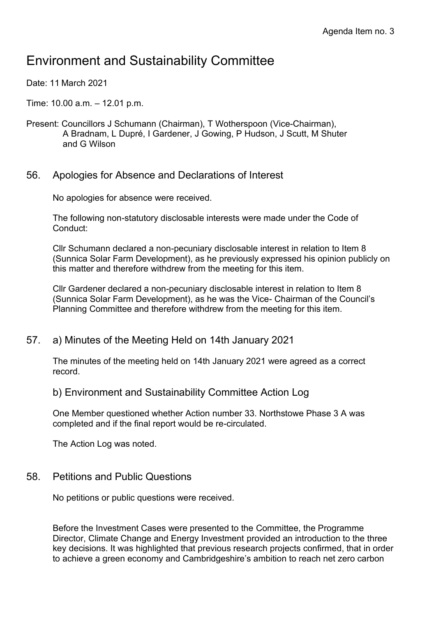# Environment and Sustainability Committee

Date: 11 March 2021

- Time: 10.00 a.m. 12.01 p.m.
- Present: Councillors J Schumann (Chairman), T Wotherspoon (Vice-Chairman), A Bradnam, L Dupré, I Gardener, J Gowing, P Hudson, J Scutt, M Shuter and G Wilson

## 56. Apologies for Absence and Declarations of Interest

No apologies for absence were received.

The following non-statutory disclosable interests were made under the Code of Conduct:

Cllr Schumann declared a non-pecuniary disclosable interest in relation to Item 8 (Sunnica Solar Farm Development), as he previously expressed his opinion publicly on this matter and therefore withdrew from the meeting for this item.

Cllr Gardener declared a non-pecuniary disclosable interest in relation to Item 8 (Sunnica Solar Farm Development), as he was the Vice- Chairman of the Council's Planning Committee and therefore withdrew from the meeting for this item.

57. a) Minutes of the Meeting Held on 14th January 2021

The minutes of the meeting held on 14th January 2021 were agreed as a correct record.

#### b) Environment and Sustainability Committee Action Log

One Member questioned whether Action number 33. Northstowe Phase 3 A was completed and if the final report would be re-circulated.

The Action Log was noted.

#### 58. Petitions and Public Questions

No petitions or public questions were received.

Before the Investment Cases were presented to the Committee, the Programme Director, Climate Change and Energy Investment provided an introduction to the three key decisions. It was highlighted that previous research projects confirmed, that in order to achieve a green economy and Cambridgeshire's ambition to reach net zero carbon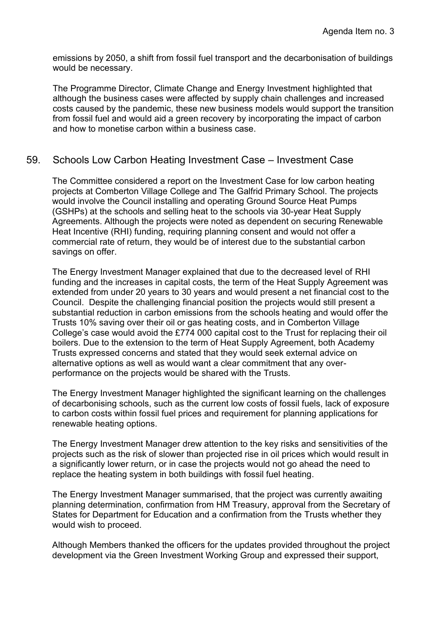emissions by 2050, a shift from fossil fuel transport and the decarbonisation of buildings would be necessary.

The Programme Director, Climate Change and Energy Investment highlighted that although the business cases were affected by supply chain challenges and increased costs caused by the pandemic, these new business models would support the transition from fossil fuel and would aid a green recovery by incorporating the impact of carbon and how to monetise carbon within a business case.

## 59. Schools Low Carbon Heating Investment Case – Investment Case

The Committee considered a report on the Investment Case for low carbon heating projects at Comberton Village College and The Galfrid Primary School. The projects would involve the Council installing and operating Ground Source Heat Pumps (GSHPs) at the schools and selling heat to the schools via 30-year Heat Supply Agreements. Although the projects were noted as dependent on securing Renewable Heat Incentive (RHI) funding, requiring planning consent and would not offer a commercial rate of return, they would be of interest due to the substantial carbon savings on offer.

The Energy Investment Manager explained that due to the decreased level of RHI funding and the increases in capital costs, the term of the Heat Supply Agreement was extended from under 20 years to 30 years and would present a net financial cost to the Council. Despite the challenging financial position the projects would still present a substantial reduction in carbon emissions from the schools heating and would offer the Trusts 10% saving over their oil or gas heating costs, and in Comberton Village College's case would avoid the £774 000 capital cost to the Trust for replacing their oil boilers. Due to the extension to the term of Heat Supply Agreement, both Academy Trusts expressed concerns and stated that they would seek external advice on alternative options as well as would want a clear commitment that any overperformance on the projects would be shared with the Trusts.

The Energy Investment Manager highlighted the significant learning on the challenges of decarbonising schools, such as the current low costs of fossil fuels, lack of exposure to carbon costs within fossil fuel prices and requirement for planning applications for renewable heating options.

The Energy Investment Manager drew attention to the key risks and sensitivities of the projects such as the risk of slower than projected rise in oil prices which would result in a significantly lower return, or in case the projects would not go ahead the need to replace the heating system in both buildings with fossil fuel heating.

The Energy Investment Manager summarised, that the project was currently awaiting planning determination, confirmation from HM Treasury, approval from the Secretary of States for Department for Education and a confirmation from the Trusts whether they would wish to proceed.

Although Members thanked the officers for the updates provided throughout the project development via the Green Investment Working Group and expressed their support,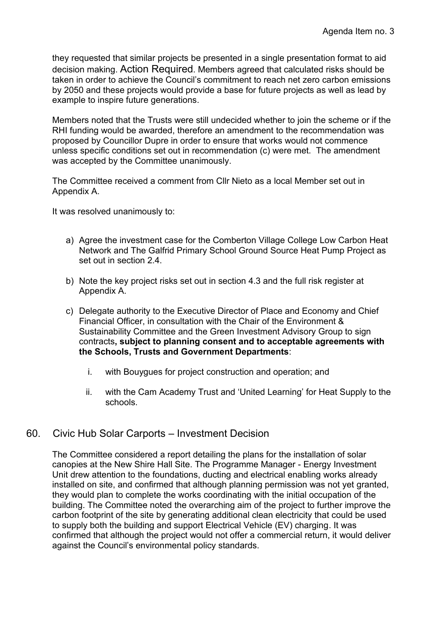they requested that similar projects be presented in a single presentation format to aid decision making. Action Required. Members agreed that calculated risks should be taken in order to achieve the Council's commitment to reach net zero carbon emissions by 2050 and these projects would provide a base for future projects as well as lead by example to inspire future generations.

Members noted that the Trusts were still undecided whether to join the scheme or if the RHI funding would be awarded, therefore an amendment to the recommendation was proposed by Councillor Dupre in order to ensure that works would not commence unless specific conditions set out in recommendation (c) were met. The amendment was accepted by the Committee unanimously.

The Committee received a comment from Cllr Nieto as a local Member set out in Appendix A.

It was resolved unanimously to:

- a) Agree the investment case for the Comberton Village College Low Carbon Heat Network and The Galfrid Primary School Ground Source Heat Pump Project as set out in section 2.4.
- b) Note the key project risks set out in section 4.3 and the full risk register at Appendix A.
- c) Delegate authority to the Executive Director of Place and Economy and Chief Financial Officer, in consultation with the Chair of the Environment & Sustainability Committee and the Green Investment Advisory Group to sign contracts**, subject to planning consent and to acceptable agreements with the Schools, Trusts and Government Departments**:
	- i. with Bouygues for project construction and operation; and
	- ii. with the Cam Academy Trust and 'United Learning' for Heat Supply to the schools.

#### 60. Civic Hub Solar Carports – Investment Decision

The Committee considered a report detailing the plans for the installation of solar canopies at the New Shire Hall Site. The Programme Manager - Energy Investment Unit drew attention to the foundations, ducting and electrical enabling works already installed on site, and confirmed that although planning permission was not yet granted, they would plan to complete the works coordinating with the initial occupation of the building. The Committee noted the overarching aim of the project to further improve the carbon footprint of the site by generating additional clean electricity that could be used to supply both the building and support Electrical Vehicle (EV) charging. It was confirmed that although the project would not offer a commercial return, it would deliver against the Council's environmental policy standards.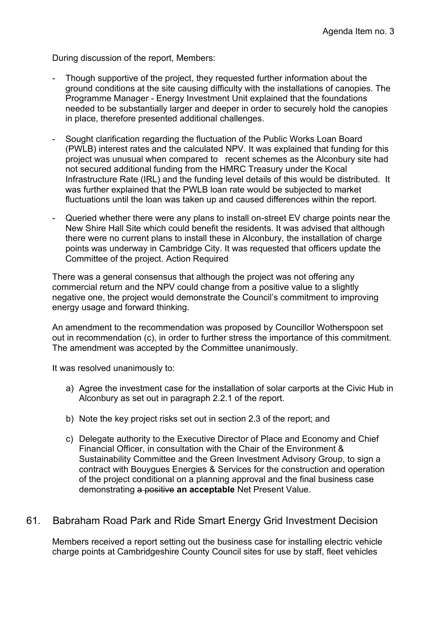During discussion of the report, Members:

- Though supportive of the project, they requested further information about the ground conditions at the site causing difficulty with the installations of canopies. The Programme Manager - Energy Investment Unit explained that the foundations needed to be substantially larger and deeper in order to securely hold the canopies in place, therefore presented additional challenges.
- Sought clarification regarding the fluctuation of the Public Works Loan Board (PWLB) interest rates and the calculated NPV. It was explained that funding for this project was unusual when compared to recent schemes as the Alconbury site had not secured additional funding from the HMRC Treasury under the Kocal Infrastructure Rate (IRL) and the funding level details of this would be distributed. It was further explained that the PWLB loan rate would be subjected to market fluctuations until the loan was taken up and caused differences within the report.
- Queried whether there were any plans to install on-street EV charge points near the New Shire Hall Site which could benefit the residents. It was advised that although there were no current plans to install these in Alconbury, the installation of charge points was underway in Cambridge City. It was requested that officers update the Committee of the project. Action Required

There was a general consensus that although the project was not offering any commercial return and the NPV could change from a positive value to a slightly negative one, the project would demonstrate the Council's commitment to improving energy usage and forward thinking.

An amendment to the recommendation was proposed by Councillor Wotherspoon set out in recommendation (c), in order to further stress the importance of this commitment. The amendment was accepted by the Committee unanimously.

It was resolved unanimously to:

- a) Agree the investment case for the installation of solar carports at the Civic Hub in Alconbury as set out in paragraph 2.2.1 of the report.
- b) Note the key project risks set out in section 2.3 of the report; and
- c) Delegate authority to the Executive Director of Place and Economy and Chief Financial Officer, in consultation with the Chair of the Environment & Sustainability Committee and the Green Investment Advisory Group, to sign a contract with Bouygues Energies & Services for the construction and operation of the project conditional on a planning approval and the final business case demonstrating a positive **an acceptable** Net Present Value.

#### 61. Babraham Road Park and Ride Smart Energy Grid Investment Decision

Members received a report setting out the business case for installing electric vehicle charge points at Cambridgeshire County Council sites for use by staff, fleet vehicles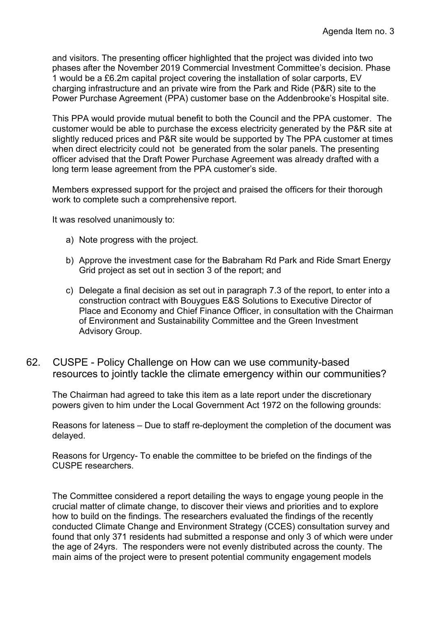and visitors. The presenting officer highlighted that the project was divided into two phases after the November 2019 Commercial Investment Committee's decision. Phase 1 would be a £6.2m capital project covering the installation of solar carports, EV charging infrastructure and an private wire from the Park and Ride (P&R) site to the Power Purchase Agreement (PPA) customer base on the Addenbrooke's Hospital site.

This PPA would provide mutual benefit to both the Council and the PPA customer. The customer would be able to purchase the excess electricity generated by the P&R site at slightly reduced prices and P&R site would be supported by The PPA customer at times when direct electricity could not be generated from the solar panels. The presenting officer advised that the Draft Power Purchase Agreement was already drafted with a long term lease agreement from the PPA customer's side.

Members expressed support for the project and praised the officers for their thorough work to complete such a comprehensive report.

It was resolved unanimously to:

- a) Note progress with the project.
- b) Approve the investment case for the Babraham Rd Park and Ride Smart Energy Grid project as set out in section 3 of the report; and
- c) Delegate a final decision as set out in paragraph 7.3 of the report, to enter into a construction contract with Bouygues E&S Solutions to Executive Director of Place and Economy and Chief Finance Officer, in consultation with the Chairman of Environment and Sustainability Committee and the Green Investment Advisory Group.
- 62. CUSPE Policy Challenge on How can we use community-based resources to jointly tackle the climate emergency within our communities?

The Chairman had agreed to take this item as a late report under the discretionary powers given to him under the Local Government Act 1972 on the following grounds:

Reasons for lateness – Due to staff re-deployment the completion of the document was delayed.

Reasons for Urgency- To enable the committee to be briefed on the findings of the CUSPE researchers.

The Committee considered a report detailing the ways to engage young people in the crucial matter of climate change, to discover their views and priorities and to explore how to build on the findings. The researchers evaluated the findings of the recently conducted Climate Change and Environment Strategy (CCES) consultation survey and found that only 371 residents had submitted a response and only 3 of which were under the age of 24yrs. The responders were not evenly distributed across the county. The main aims of the project were to present potential community engagement models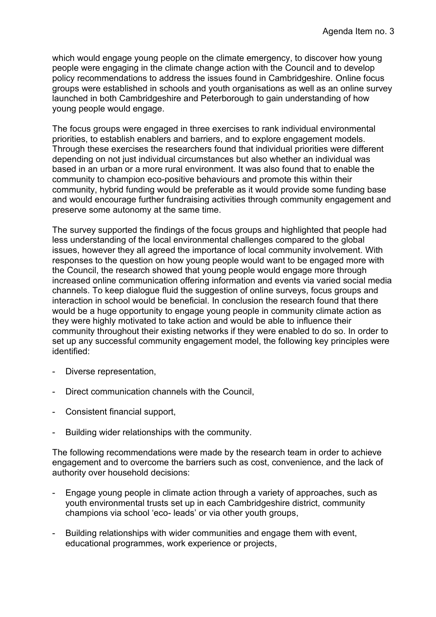which would engage young people on the climate emergency, to discover how young people were engaging in the climate change action with the Council and to develop policy recommendations to address the issues found in Cambridgeshire. Online focus groups were established in schools and youth organisations as well as an online survey launched in both Cambridgeshire and Peterborough to gain understanding of how young people would engage.

The focus groups were engaged in three exercises to rank individual environmental priorities, to establish enablers and barriers, and to explore engagement models. Through these exercises the researchers found that individual priorities were different depending on not just individual circumstances but also whether an individual was based in an urban or a more rural environment. It was also found that to enable the community to champion eco-positive behaviours and promote this within their community, hybrid funding would be preferable as it would provide some funding base and would encourage further fundraising activities through community engagement and preserve some autonomy at the same time.

The survey supported the findings of the focus groups and highlighted that people had less understanding of the local environmental challenges compared to the global issues, however they all agreed the importance of local community involvement. With responses to the question on how young people would want to be engaged more with the Council, the research showed that young people would engage more through increased online communication offering information and events via varied social media channels. To keep dialogue fluid the suggestion of online surveys, focus groups and interaction in school would be beneficial. In conclusion the research found that there would be a huge opportunity to engage young people in community climate action as they were highly motivated to take action and would be able to influence their community throughout their existing networks if they were enabled to do so. In order to set up any successful community engagement model, the following key principles were identified:

- Diverse representation,
- Direct communication channels with the Council,
- Consistent financial support,
- Building wider relationships with the community.

The following recommendations were made by the research team in order to achieve engagement and to overcome the barriers such as cost, convenience, and the lack of authority over household decisions:

- Engage young people in climate action through a variety of approaches, such as youth environmental trusts set up in each Cambridgeshire district, community champions via school 'eco- leads' or via other youth groups,
- Building relationships with wider communities and engage them with event, educational programmes, work experience or projects,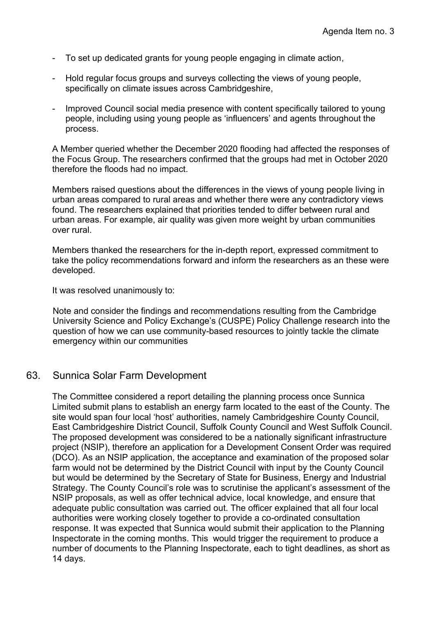- To set up dedicated grants for young people engaging in climate action,
- Hold regular focus groups and surveys collecting the views of young people, specifically on climate issues across Cambridgeshire,
- Improved Council social media presence with content specifically tailored to young people, including using young people as 'influencers' and agents throughout the process.

A Member queried whether the December 2020 flooding had affected the responses of the Focus Group. The researchers confirmed that the groups had met in October 2020 therefore the floods had no impact.

Members raised questions about the differences in the views of young people living in urban areas compared to rural areas and whether there were any contradictory views found. The researchers explained that priorities tended to differ between rural and urban areas. For example, air quality was given more weight by urban communities over rural.

Members thanked the researchers for the in-depth report, expressed commitment to take the policy recommendations forward and inform the researchers as an these were developed.

It was resolved unanimously to:

Note and consider the findings and recommendations resulting from the Cambridge University Science and Policy Exchange's (CUSPE) Policy Challenge research into the question of how we can use community-based resources to jointly tackle the climate emergency within our communities

#### 63. Sunnica Solar Farm Development

The Committee considered a report detailing the planning process once Sunnica Limited submit plans to establish an energy farm located to the east of the County. The site would span four local 'host' authorities, namely Cambridgeshire County Council, East Cambridgeshire District Council, Suffolk County Council and West Suffolk Council. The proposed development was considered to be a nationally significant infrastructure project (NSIP), therefore an application for a Development Consent Order was required (DCO). As an NSIP application, the acceptance and examination of the proposed solar farm would not be determined by the District Council with input by the County Council but would be determined by the Secretary of State for Business, Energy and Industrial Strategy. The County Council's role was to scrutinise the applicant's assessment of the NSIP proposals, as well as offer technical advice, local knowledge, and ensure that adequate public consultation was carried out. The officer explained that all four local authorities were working closely together to provide a co-ordinated consultation response. It was expected that Sunnica would submit their application to the Planning Inspectorate in the coming months. This would trigger the requirement to produce a number of documents to the Planning Inspectorate, each to tight deadlines, as short as 14 days.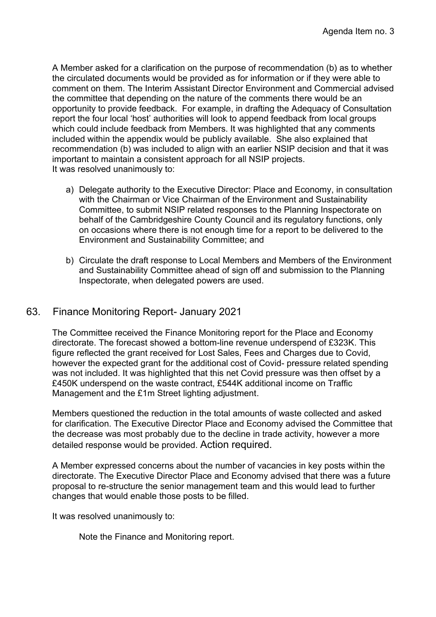A Member asked for a clarification on the purpose of recommendation (b) as to whether the circulated documents would be provided as for information or if they were able to comment on them. The Interim Assistant Director Environment and Commercial advised the committee that depending on the nature of the comments there would be an opportunity to provide feedback. For example, in drafting the Adequacy of Consultation report the four local 'host' authorities will look to append feedback from local groups which could include feedback from Members. It was highlighted that any comments included within the appendix would be publicly available. She also explained that recommendation (b) was included to align with an earlier NSIP decision and that it was important to maintain a consistent approach for all NSIP projects. It was resolved unanimously to:

- a) Delegate authority to the Executive Director: Place and Economy, in consultation with the Chairman or Vice Chairman of the Environment and Sustainability Committee, to submit NSIP related responses to the Planning Inspectorate on behalf of the Cambridgeshire County Council and its regulatory functions, only on occasions where there is not enough time for a report to be delivered to the Environment and Sustainability Committee; and
- b) Circulate the draft response to Local Members and Members of the Environment and Sustainability Committee ahead of sign off and submission to the Planning Inspectorate, when delegated powers are used.

# 63. Finance Monitoring Report- January 2021

The Committee received the Finance Monitoring report for the Place and Economy directorate. The forecast showed a bottom-line revenue underspend of £323K. This figure reflected the grant received for Lost Sales, Fees and Charges due to Covid, however the expected grant for the additional cost of Covid- pressure related spending was not included. It was highlighted that this net Covid pressure was then offset by a £450K underspend on the waste contract, £544K additional income on Traffic Management and the £1m Street lighting adjustment.

Members questioned the reduction in the total amounts of waste collected and asked for clarification. The Executive Director Place and Economy advised the Committee that the decrease was most probably due to the decline in trade activity, however a more detailed response would be provided. Action required.

A Member expressed concerns about the number of vacancies in key posts within the directorate. The Executive Director Place and Economy advised that there was a future proposal to re-structure the senior management team and this would lead to further changes that would enable those posts to be filled.

It was resolved unanimously to:

Note the Finance and Monitoring report.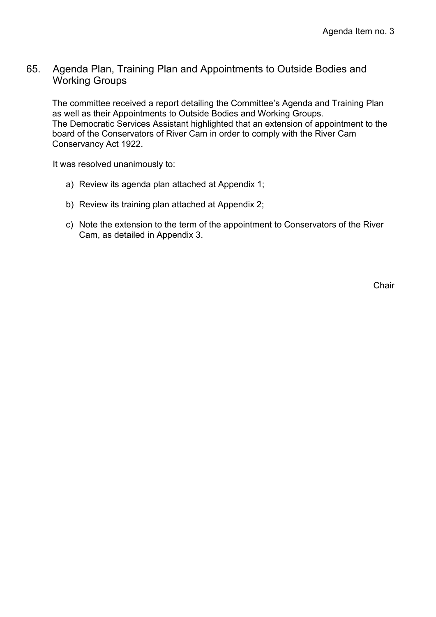# 65. Agenda Plan, Training Plan and Appointments to Outside Bodies and Working Groups

The committee received a report detailing the Committee's Agenda and Training Plan as well as their Appointments to Outside Bodies and Working Groups. The Democratic Services Assistant highlighted that an extension of appointment to the board of the Conservators of River Cam in order to comply with the River Cam Conservancy Act 1922.

It was resolved unanimously to:

- a) Review its agenda plan attached at Appendix 1;
- b) Review its training plan attached at Appendix 2;
- c) Note the extension to the term of the appointment to Conservators of the River Cam, as detailed in Appendix 3.

**Chair**